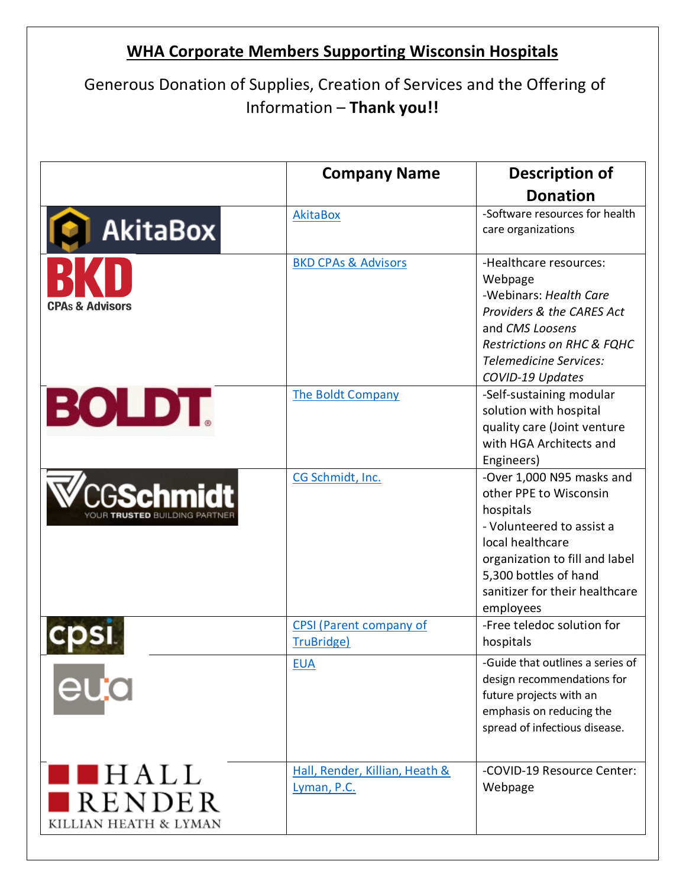## **WHA Corporate Members Supporting Wisconsin Hospitals**

## Generous Donation of Supplies, Creation of Services and the Offering of Information – **Thank you!!**

|                                                                                                                      | <b>Company Name</b>                           | <b>Description of</b><br><b>Donation</b>                                                                                                                                                                                    |
|----------------------------------------------------------------------------------------------------------------------|-----------------------------------------------|-----------------------------------------------------------------------------------------------------------------------------------------------------------------------------------------------------------------------------|
| <b>AkitaBox</b>                                                                                                      | AkitaBox                                      | -Software resources for health<br>care organizations                                                                                                                                                                        |
| <b>CPAs &amp; Advisors</b>                                                                                           | <b>BKD CPAs &amp; Advisors</b>                | -Healthcare resources:<br>Webpage<br>-Webinars: Health Care<br><b>Providers &amp; the CARES Act</b><br>and CMS Loosens<br><b>Restrictions on RHC &amp; FQHC</b><br>Telemedicine Services:<br>COVID-19 Updates               |
| <b>BOLDT.</b>                                                                                                        | The Boldt Company                             | -Self-sustaining modular<br>solution with hospital<br>quality care (Joint venture<br>with HGA Architects and<br>Engineers)                                                                                                  |
| <b>CGSchmidt</b>                                                                                                     | CG Schmidt, Inc.                              | -Over 1,000 N95 masks and<br>other PPE to Wisconsin<br>hospitals<br>- Volunteered to assist a<br>local healthcare<br>organization to fill and label<br>5,300 bottles of hand<br>sanitizer for their healthcare<br>employees |
|                                                                                                                      | <b>CPSI</b> (Parent company of<br>TruBridge)  | -Free teledoc solution for<br>hospitals                                                                                                                                                                                     |
| eua                                                                                                                  | <b>EUA</b>                                    | -Guide that outlines a series of<br>design recommendations for<br>future projects with an<br>emphasis on reducing the<br>spread of infectious disease.                                                                      |
| $\blacksquare$ $\blacksquare$ $\blacksquare$ $\blacksquare$ $\blacksquare$<br><b>RENDER</b><br>KILLIAN HEATH & LYMAN | Hall, Render, Killian, Heath &<br>Lyman, P.C. | -COVID-19 Resource Center:<br>Webpage                                                                                                                                                                                       |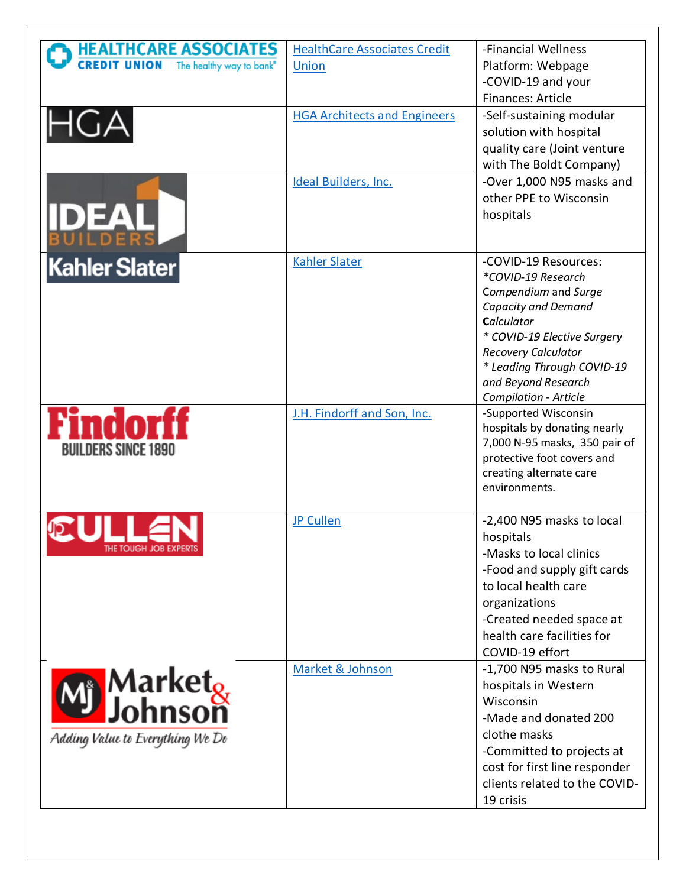| <b>HEALTHCARE ASSOCIATES</b>                                | <b>HealthCare Associates Credit</b> | -Financial Wellness                                        |
|-------------------------------------------------------------|-------------------------------------|------------------------------------------------------------|
| <b>CREDIT UNION</b><br>The healthy way to bank <sup>®</sup> | Union                               | Platform: Webpage                                          |
|                                                             |                                     | -COVID-19 and your<br>Finances: Article                    |
|                                                             | <b>HGA Architects and Engineers</b> | -Self-sustaining modular                                   |
| HGA                                                         |                                     | solution with hospital                                     |
|                                                             |                                     | quality care (Joint venture<br>with The Boldt Company)     |
|                                                             | Ideal Builders, Inc.                | -Over 1,000 N95 masks and                                  |
|                                                             |                                     | other PPE to Wisconsin                                     |
| <b>IDEAL</b>                                                |                                     | hospitals                                                  |
|                                                             |                                     |                                                            |
| <b>Kahler Slater</b>                                        | <b>Kahler Slater</b>                | -COVID-19 Resources:<br>*COVID-19 Research                 |
|                                                             |                                     | Compendium and Surge                                       |
|                                                             |                                     | Capacity and Demand<br>Calculator                          |
|                                                             |                                     | * COVID-19 Elective Surgery                                |
|                                                             |                                     | <b>Recovery Calculator</b><br>* Leading Through COVID-19   |
|                                                             |                                     | and Beyond Research                                        |
|                                                             |                                     | Compilation - Article                                      |
| Findo                                                       | J.H. Findorff and Son, Inc.         | -Supported Wisconsin<br>hospitals by donating nearly       |
| <b>BUILDERS SINCE 1890</b>                                  |                                     | 7,000 N-95 masks, 350 pair of                              |
|                                                             |                                     | protective foot covers and<br>creating alternate care      |
|                                                             |                                     | environments.                                              |
|                                                             | <b>JP Cullen</b>                    | -2,400 N95 masks to local                                  |
| THE TOUGH JOB EXPERTS                                       |                                     | hospitals                                                  |
|                                                             |                                     | -Masks to local clinics<br>-Food and supply gift cards     |
|                                                             |                                     | to local health care                                       |
|                                                             |                                     | organizations                                              |
|                                                             |                                     | -Created needed space at<br>health care facilities for     |
|                                                             |                                     | COVID-19 effort                                            |
|                                                             | Market & Johnson                    | -1,700 N95 masks to Rural                                  |
| <b>Market<sub>&amp;</sub></b><br>DJohnson                   |                                     | hospitals in Western<br>Wisconsin                          |
|                                                             |                                     | -Made and donated 200                                      |
| Adding Value to Everything We Do                            |                                     | clothe masks                                               |
|                                                             |                                     | -Committed to projects at<br>cost for first line responder |
|                                                             |                                     | clients related to the COVID-                              |
|                                                             |                                     | 19 crisis                                                  |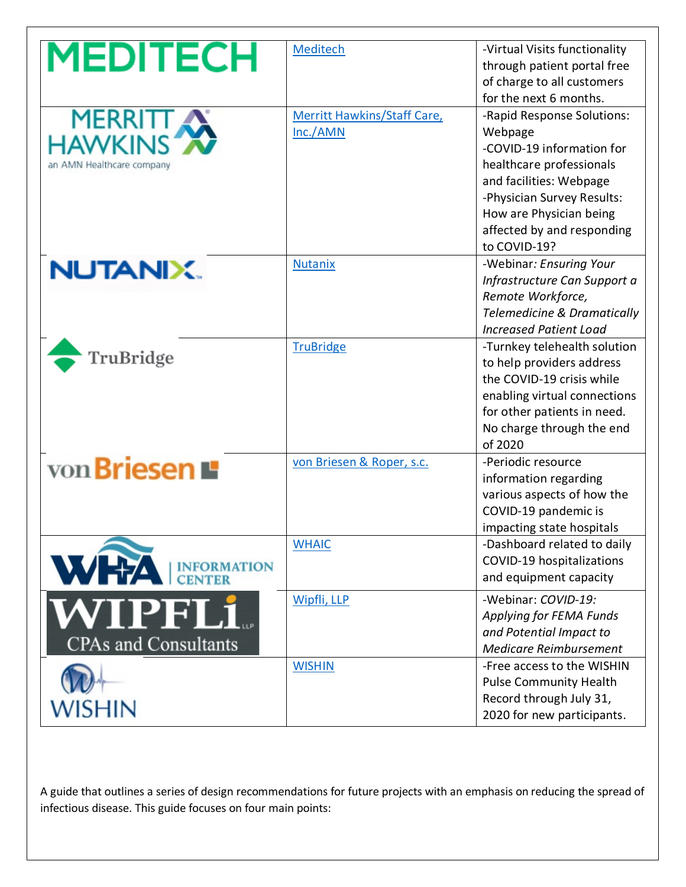| <b>MEDITECH</b>                        | Meditech                                | -Virtual Visits functionality<br>through patient portal free<br>of charge to all customers<br>for the next 6 months.                                                                                                             |
|----------------------------------------|-----------------------------------------|----------------------------------------------------------------------------------------------------------------------------------------------------------------------------------------------------------------------------------|
| MERRITT<br>an AMN Healthcare company   | Merritt Hawkins/Staff Care,<br>Inc./AMN | -Rapid Response Solutions:<br>Webpage<br>-COVID-19 information for<br>healthcare professionals<br>and facilities: Webpage<br>-Physician Survey Results:<br>How are Physician being<br>affected by and responding<br>to COVID-19? |
| <b>NUTANIX.</b>                        | <b>Nutanix</b>                          | -Webinar: Ensuring Your<br>Infrastructure Can Support a<br>Remote Workforce,<br><b>Telemedicine &amp; Dramatically</b><br><b>Increased Patient Load</b>                                                                          |
| TruBridge                              | <b>TruBridge</b>                        | -Turnkey telehealth solution<br>to help providers address<br>the COVID-19 crisis while<br>enabling virtual connections<br>for other patients in need.<br>No charge through the end<br>of 2020                                    |
| von Briesen                            | von Briesen & Roper, s.c.               | -Periodic resource<br>information regarding<br>various aspects of how the<br>COVID-19 pandemic is<br>impacting state hospitals                                                                                                   |
| WHA<br><b>INFORMATION</b>              | <b>WHAIC</b>                            | -Dashboard related to daily<br>COVID-19 hospitalizations<br>and equipment capacity                                                                                                                                               |
| WIPFL1.<br><b>CPAs and Consultants</b> | Wipfli, LLP                             | -Webinar: COVID-19:<br>Applying for FEMA Funds<br>and Potential Impact to<br>Medicare Reimbursement                                                                                                                              |
| <b>WISHIN</b>                          | <b>WISHIN</b>                           | -Free access to the WISHIN<br><b>Pulse Community Health</b><br>Record through July 31,<br>2020 for new participants.                                                                                                             |

A guide that outlines a series of design recommendations for future projects with an emphasis on reducing the spread of infectious disease. This guide focuses on four main points: